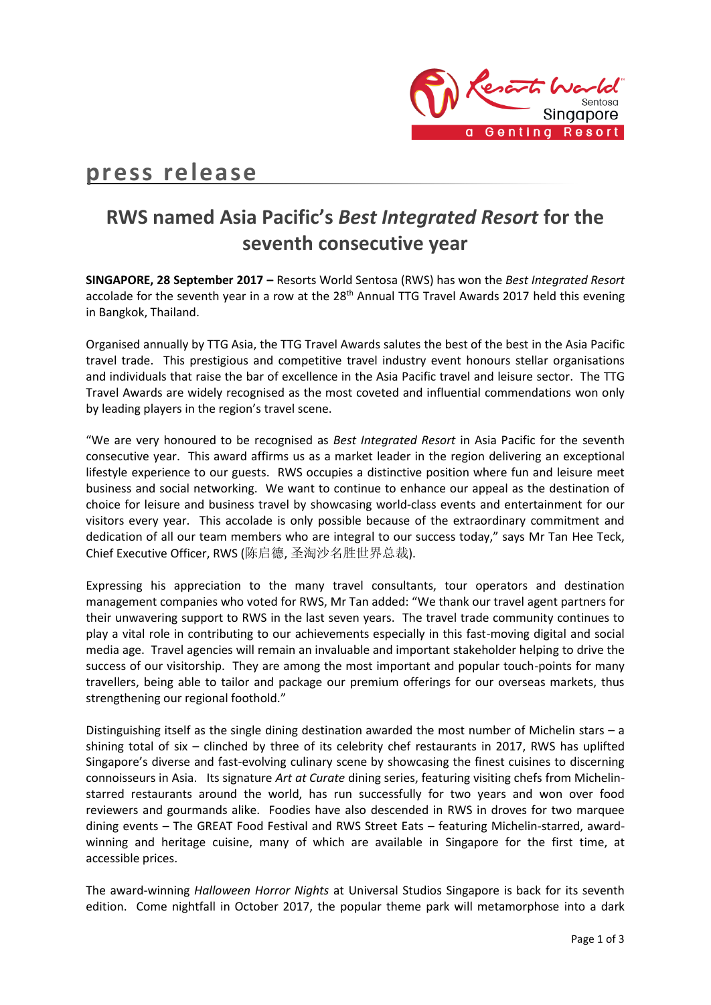

## **press release**

## **RWS named Asia Pacific's** *Best Integrated Resort* **for the seventh consecutive year**

**SINGAPORE, 28 September 2017 –** Resorts World Sentosa (RWS) has won the *Best Integrated Resort* accolade for the seventh year in a row at the 28<sup>th</sup> Annual TTG Travel Awards 2017 held this evening in Bangkok, Thailand.

Organised annually by TTG Asia, the TTG Travel Awards salutes the best of the best in the Asia Pacific travel trade. This prestigious and competitive travel industry event honours stellar organisations and individuals that raise the bar of excellence in the Asia Pacific travel and leisure sector. The TTG Travel Awards are widely recognised as the most coveted and influential commendations won only by leading players in the region's travel scene.

"We are very honoured to be recognised as *Best Integrated Resort* in Asia Pacific for the seventh consecutive year. This award affirms us as a market leader in the region delivering an exceptional lifestyle experience to our guests. RWS occupies a distinctive position where fun and leisure meet business and social networking. We want to continue to enhance our appeal as the destination of choice for leisure and business travel by showcasing world-class events and entertainment for our visitors every year. This accolade is only possible because of the extraordinary commitment and dedication of all our team members who are integral to our success today," says Mr Tan Hee Teck, Chief Executive Officer, RWS (陈启德, 圣淘沙名胜世界总裁).

Expressing his appreciation to the many travel consultants, tour operators and destination management companies who voted for RWS, Mr Tan added: "We thank our travel agent partners for their unwavering support to RWS in the last seven years. The travel trade community continues to play a vital role in contributing to our achievements especially in this fast-moving digital and social media age. Travel agencies will remain an invaluable and important stakeholder helping to drive the success of our visitorship. They are among the most important and popular touch-points for many travellers, being able to tailor and package our premium offerings for our overseas markets, thus strengthening our regional foothold."

Distinguishing itself as the single dining destination awarded the most number of Michelin stars – a shining total of six – clinched by three of its celebrity chef restaurants in 2017, RWS has uplifted Singapore's diverse and fast-evolving culinary scene by showcasing the finest cuisines to discerning connoisseurs in Asia. Its signature *Art at Curate* dining series, featuring visiting chefs from Michelinstarred restaurants around the world, has run successfully for two years and won over food reviewers and gourmands alike. Foodies have also descended in RWS in droves for two marquee dining events – The GREAT Food Festival and RWS Street Eats – featuring Michelin-starred, awardwinning and heritage cuisine, many of which are available in Singapore for the first time, at accessible prices.

The award-winning *Halloween Horror Nights* at Universal Studios Singapore is back for its seventh edition. Come nightfall in October 2017, the popular theme park will metamorphose into a dark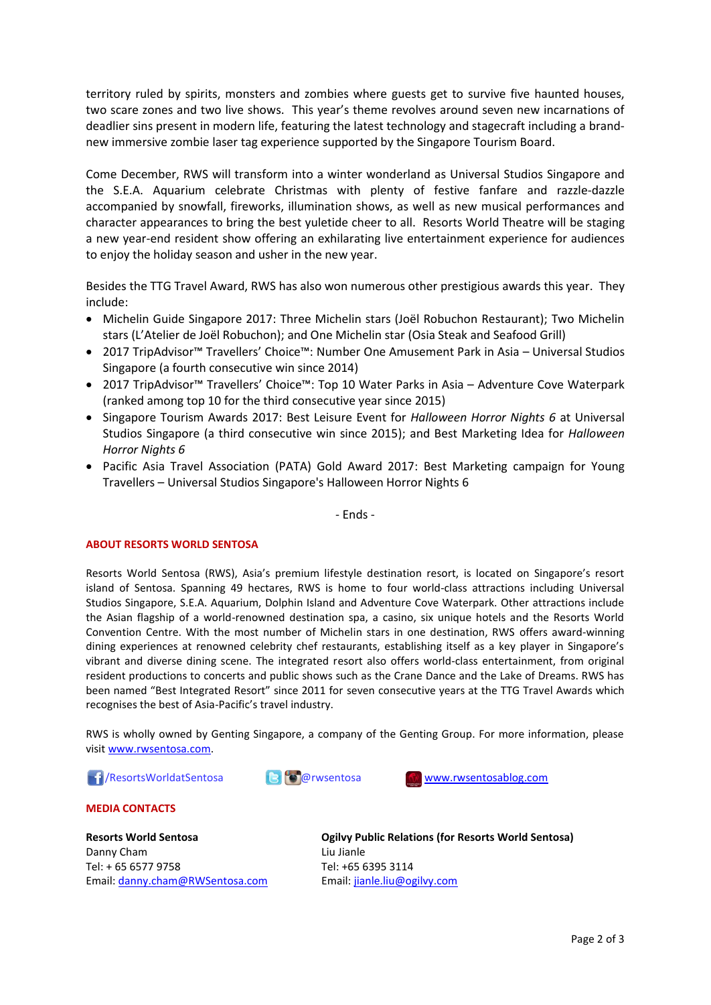territory ruled by spirits, monsters and zombies where guests get to survive five haunted houses, two scare zones and two live shows. This year's theme revolves around seven new incarnations of deadlier sins present in modern life, featuring the latest technology and stagecraft including a brandnew immersive zombie laser tag experience supported by the Singapore Tourism Board.

Come December, RWS will transform into a winter wonderland as Universal Studios Singapore and the S.E.A. Aquarium celebrate Christmas with plenty of festive fanfare and razzle-dazzle accompanied by snowfall, fireworks, illumination shows, as well as new musical performances and character appearances to bring the best yuletide cheer to all. Resorts World Theatre will be staging a new year-end resident show offering an exhilarating live entertainment experience for audiences to enjoy the holiday season and usher in the new year.

Besides the TTG Travel Award, RWS has also won numerous other prestigious awards this year. They include:

- Michelin Guide Singapore 2017: Three Michelin stars (Joël Robuchon Restaurant); Two Michelin stars (L'Atelier de Joël Robuchon); and One Michelin star (Osia Steak and Seafood Grill)
- 2017 TripAdvisor™ Travellers' Choice™: Number One Amusement Park in Asia Universal Studios Singapore (a fourth consecutive win since 2014)
- 2017 TripAdvisor™ Travellers' Choice™: Top 10 Water Parks in Asia Adventure Cove Waterpark (ranked among top 10 for the third consecutive year since 2015)
- Singapore Tourism Awards 2017: Best Leisure Event for *Halloween Horror Nights 6* at Universal Studios Singapore (a third consecutive win since 2015); and Best Marketing Idea for *Halloween Horror Nights 6*
- Pacific Asia Travel Association (PATA) Gold Award 2017: Best Marketing campaign for Young Travellers – Universal Studios Singapore's Halloween Horror Nights 6

- Ends -

## **ABOUT RESORTS WORLD SENTOSA**

Resorts World Sentosa (RWS), Asia's premium lifestyle destination resort, is located on Singapore's resort island of Sentosa. Spanning 49 hectares, RWS is home to four world-class attractions including Universal Studios Singapore, S.E.A. Aquarium, Dolphin Island and Adventure Cove Waterpark. Other attractions include the Asian flagship of a world-renowned destination spa, a casino, six unique hotels and the Resorts World Convention Centre. With the most number of Michelin stars in one destination, RWS offers award-winning dining experiences at renowned celebrity chef restaurants, establishing itself as a key player in Singapore's vibrant and diverse dining scene. The integrated resort also offers world-class entertainment, from original resident productions to concerts and public shows such as the Crane Dance and the Lake of Dreams. RWS has been named "Best Integrated Resort" since 2011 for seven consecutive years at the TTG Travel Awards which recognises the best of Asia-Pacific's travel industry.

RWS is wholly owned by Genting Singapore, a company of the Genting Group. For more information, please visi[t www.rwsentosa.com.](http://www.rwsentosa.com/)

**16 / ResortsWorldatSentosa @rwsentosa [www.rwsentosablog.com](http://www.rwsentosablog.com/)** 





**MEDIA CONTACTS**

**Resorts World Sentosa** Danny Cham Tel: + 65 6577 9758 Email: [danny.cham@RWSentosa.com](mailto:danny.cham@RWSentosa.com) **Ogilvy Public Relations (for Resorts World Sentosa)** Liu Jianle Tel: +65 6395 3114 Email[: jianle.liu@ogilvy.com](mailto:jianle.liu@ogilvy.com)